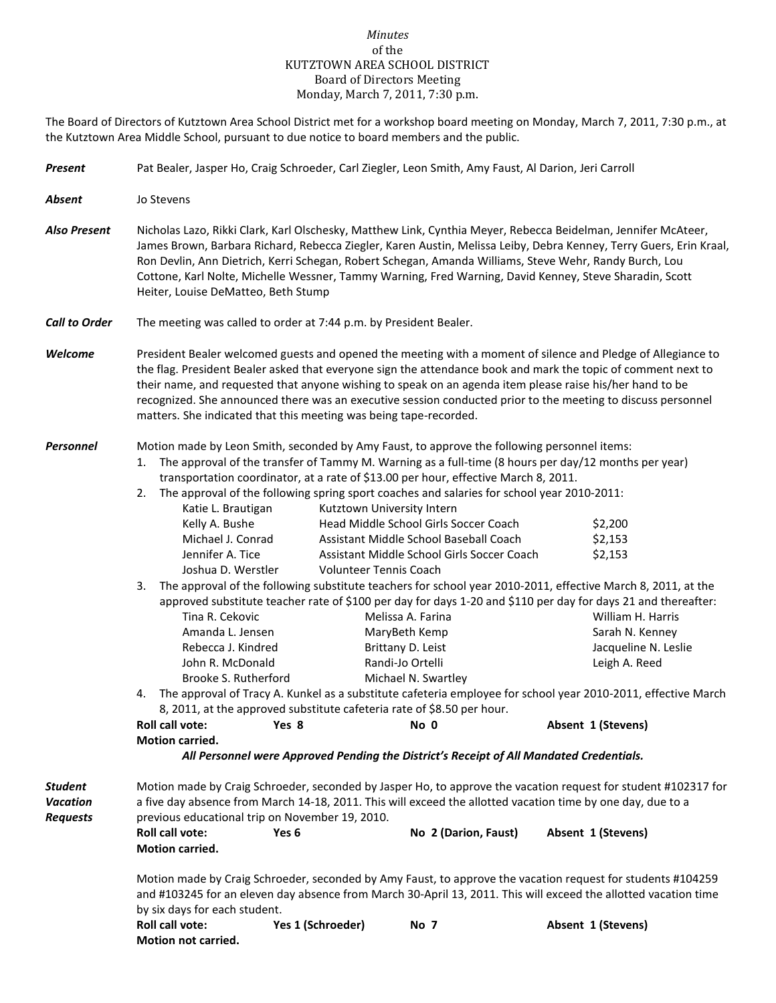## *Minutes* of the KUTZTOWN AREA SCHOOL DISTRICT Board of Directors Meeting Monday, March 7, 2011, 7:30 p.m.

The Board of Directors of Kutztown Area School District met for a workshop board meeting on Monday, March 7, 2011, 7:30 p.m., at the Kutztown Area Middle School, pursuant to due notice to board members and the public.

| <b>Present</b>                                       | Pat Bealer, Jasper Ho, Craig Schroeder, Carl Ziegler, Leon Smith, Amy Faust, Al Darion, Jeri Carroll                                                                                                                                                                                                                                                                                                                                                                                                                           |                                                                                                                                |                                                                                                                                                                                                                                                                                                                                                                                                                                                                                                                                                                                                                                                                                                                                                                   |                    |                                                                                                                                                                                                                                 |  |  |
|------------------------------------------------------|--------------------------------------------------------------------------------------------------------------------------------------------------------------------------------------------------------------------------------------------------------------------------------------------------------------------------------------------------------------------------------------------------------------------------------------------------------------------------------------------------------------------------------|--------------------------------------------------------------------------------------------------------------------------------|-------------------------------------------------------------------------------------------------------------------------------------------------------------------------------------------------------------------------------------------------------------------------------------------------------------------------------------------------------------------------------------------------------------------------------------------------------------------------------------------------------------------------------------------------------------------------------------------------------------------------------------------------------------------------------------------------------------------------------------------------------------------|--------------------|---------------------------------------------------------------------------------------------------------------------------------------------------------------------------------------------------------------------------------|--|--|
| <b>Absent</b>                                        | Jo Stevens                                                                                                                                                                                                                                                                                                                                                                                                                                                                                                                     |                                                                                                                                |                                                                                                                                                                                                                                                                                                                                                                                                                                                                                                                                                                                                                                                                                                                                                                   |                    |                                                                                                                                                                                                                                 |  |  |
| <b>Also Present</b>                                  | Nicholas Lazo, Rikki Clark, Karl Olschesky, Matthew Link, Cynthia Meyer, Rebecca Beidelman, Jennifer McAteer,<br>James Brown, Barbara Richard, Rebecca Ziegler, Karen Austin, Melissa Leiby, Debra Kenney, Terry Guers, Erin Kraal,<br>Ron Devlin, Ann Dietrich, Kerri Schegan, Robert Schegan, Amanda Williams, Steve Wehr, Randy Burch, Lou<br>Cottone, Karl Nolte, Michelle Wessner, Tammy Warning, Fred Warning, David Kenney, Steve Sharadin, Scott<br>Heiter, Louise DeMatteo, Beth Stump                                |                                                                                                                                |                                                                                                                                                                                                                                                                                                                                                                                                                                                                                                                                                                                                                                                                                                                                                                   |                    |                                                                                                                                                                                                                                 |  |  |
| <b>Call to Order</b>                                 | The meeting was called to order at 7:44 p.m. by President Bealer.                                                                                                                                                                                                                                                                                                                                                                                                                                                              |                                                                                                                                |                                                                                                                                                                                                                                                                                                                                                                                                                                                                                                                                                                                                                                                                                                                                                                   |                    |                                                                                                                                                                                                                                 |  |  |
| Welcome                                              | President Bealer welcomed guests and opened the meeting with a moment of silence and Pledge of Allegiance to<br>the flag. President Bealer asked that everyone sign the attendance book and mark the topic of comment next to<br>their name, and requested that anyone wishing to speak on an agenda item please raise his/her hand to be<br>recognized. She announced there was an executive session conducted prior to the meeting to discuss personnel<br>matters. She indicated that this meeting was being tape-recorded. |                                                                                                                                |                                                                                                                                                                                                                                                                                                                                                                                                                                                                                                                                                                                                                                                                                                                                                                   |                    |                                                                                                                                                                                                                                 |  |  |
| Personnel                                            | Motion made by Leon Smith, seconded by Amy Faust, to approve the following personnel items:<br>1.<br>2.<br>Katie L. Brautigan<br>Kelly A. Bushe<br>Michael J. Conrad<br>Jennifer A. Tice<br>Joshua D. Werstler<br>3.<br>Tina R. Cekovic<br>Amanda L. Jensen<br>Rebecca J. Kindred<br>John R. McDonald<br>Brooke S. Rutherford<br>4.<br>Motion carried.                                                                                                                                                                         | Kutztown University Intern<br>Volunteer Tennis Coach<br>8, 2011, at the approved substitute cafeteria rate of \$8.50 per hour. | The approval of the transfer of Tammy M. Warning as a full-time (8 hours per day/12 months per year)<br>transportation coordinator, at a rate of \$13.00 per hour, effective March 8, 2011.<br>The approval of the following spring sport coaches and salaries for school year 2010-2011:<br>Head Middle School Girls Soccer Coach<br>Assistant Middle School Baseball Coach<br>Assistant Middle School Girls Soccer Coach<br>The approval of the following substitute teachers for school year 2010-2011, effective March 8, 2011, at the<br>approved substitute teacher rate of \$100 per day for days 1-20 and \$110 per day for days 21 and thereafter:<br>Melissa A. Farina<br>MaryBeth Kemp<br>Brittany D. Leist<br>Randi-Jo Ortelli<br>Michael N. Swartley | Absent 1 (Stevens) | \$2,200<br>\$2,153<br>\$2,153<br>William H. Harris<br>Sarah N. Kenney<br>Jacqueline N. Leslie<br>Leigh A. Reed<br>The approval of Tracy A. Kunkel as a substitute cafeteria employee for school year 2010-2011, effective March |  |  |
|                                                      | All Personnel were Approved Pending the District's Receipt of All Mandated Credentials.                                                                                                                                                                                                                                                                                                                                                                                                                                        |                                                                                                                                |                                                                                                                                                                                                                                                                                                                                                                                                                                                                                                                                                                                                                                                                                                                                                                   |                    |                                                                                                                                                                                                                                 |  |  |
| <b>Student</b><br><b>Vacation</b><br><b>Requests</b> | Motion made by Craig Schroeder, seconded by Jasper Ho, to approve the vacation request for student #102317 for<br>a five day absence from March 14-18, 2011. This will exceed the allotted vacation time by one day, due to a<br>previous educational trip on November 19, 2010.<br>Absent 1 (Stevens)                                                                                                                                                                                                                         |                                                                                                                                |                                                                                                                                                                                                                                                                                                                                                                                                                                                                                                                                                                                                                                                                                                                                                                   |                    |                                                                                                                                                                                                                                 |  |  |
|                                                      | Roll call vote:<br>Motion carried.                                                                                                                                                                                                                                                                                                                                                                                                                                                                                             | Yes <sub>6</sub>                                                                                                               | No 2 (Darion, Faust)                                                                                                                                                                                                                                                                                                                                                                                                                                                                                                                                                                                                                                                                                                                                              |                    |                                                                                                                                                                                                                                 |  |  |
|                                                      | Motion made by Craig Schroeder, seconded by Amy Faust, to approve the vacation request for students #104259<br>and #103245 for an eleven day absence from March 30-April 13, 2011. This will exceed the allotted vacation time<br>by six days for each student.<br>Roll call vote:<br>Yes 1 (Schroeder)<br>Absent 1 (Stevens)<br><b>No 7</b>                                                                                                                                                                                   |                                                                                                                                |                                                                                                                                                                                                                                                                                                                                                                                                                                                                                                                                                                                                                                                                                                                                                                   |                    |                                                                                                                                                                                                                                 |  |  |

**Motion not carried.**